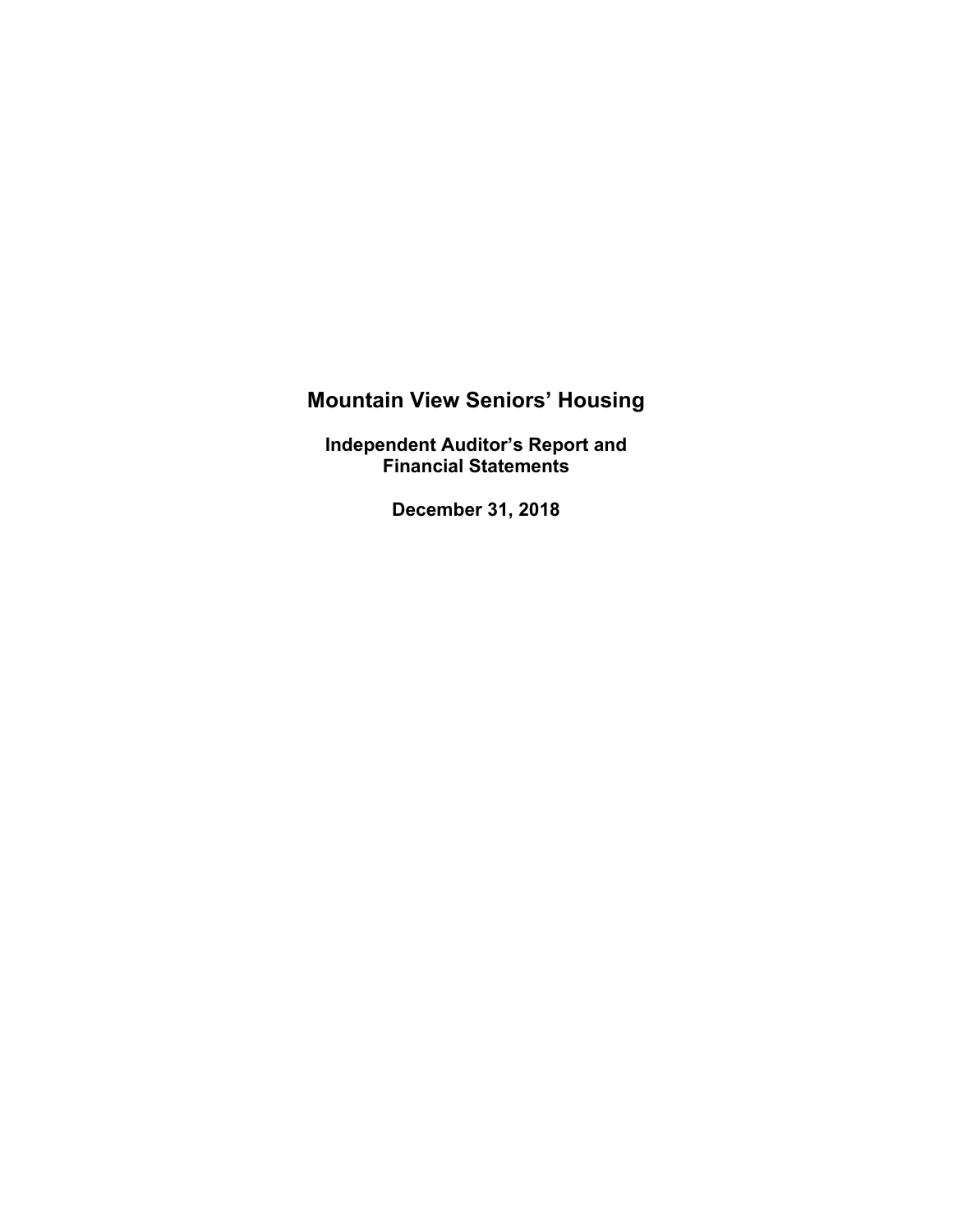## **Mountain View Seniors' Housing**

**Independent Auditor's Report and Financial Statements** 

**December 31, 2018**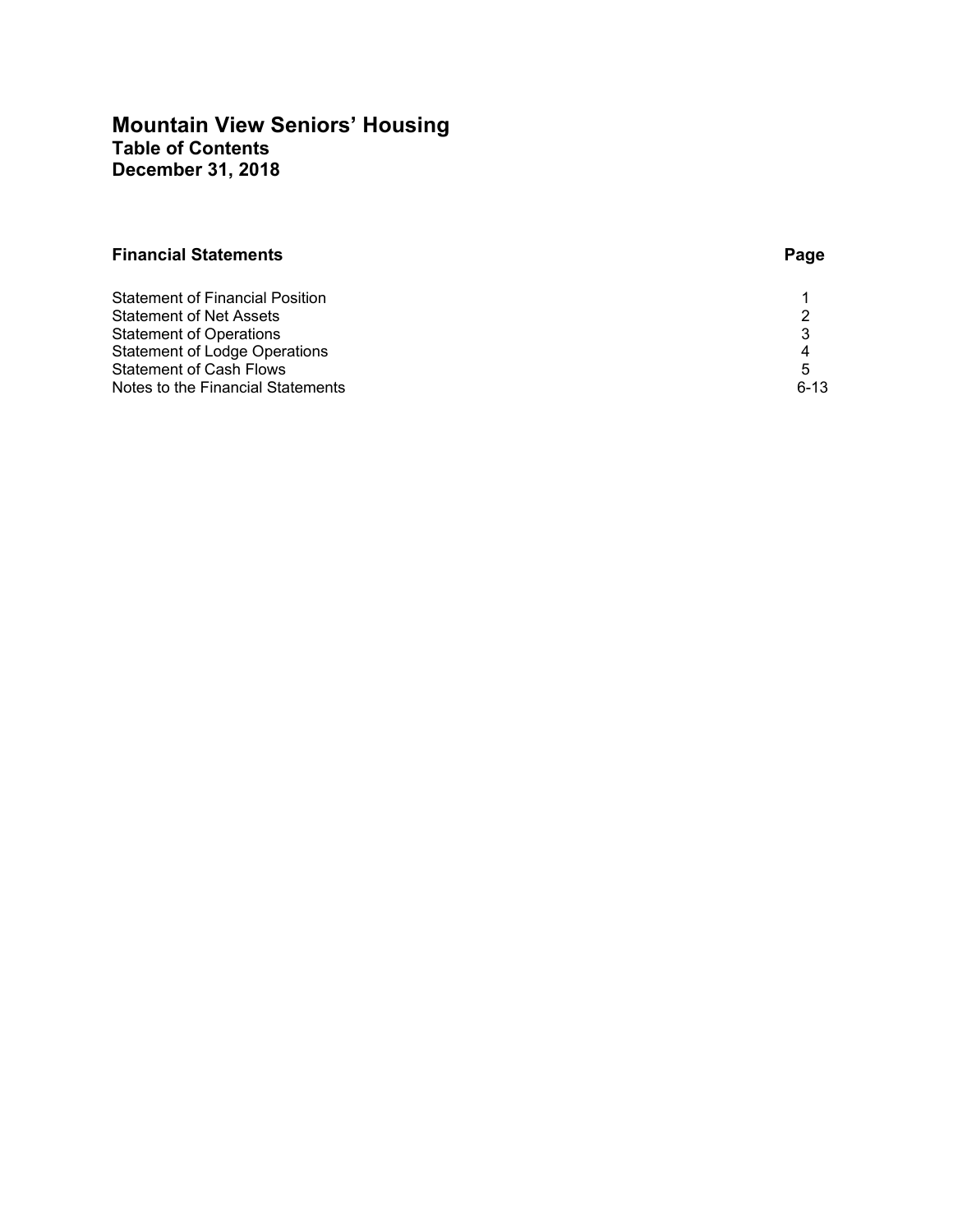## **Mountain View Seniors' Housing Table of Contents December 31, 2018**

| <b>Financial Statements</b>            | Page     |
|----------------------------------------|----------|
| <b>Statement of Financial Position</b> |          |
| <b>Statement of Net Assets</b>         | 2        |
| <b>Statement of Operations</b>         | 3        |
| <b>Statement of Lodge Operations</b>   | 4        |
| <b>Statement of Cash Flows</b>         | 5        |
| Notes to the Financial Statements      | $6 - 13$ |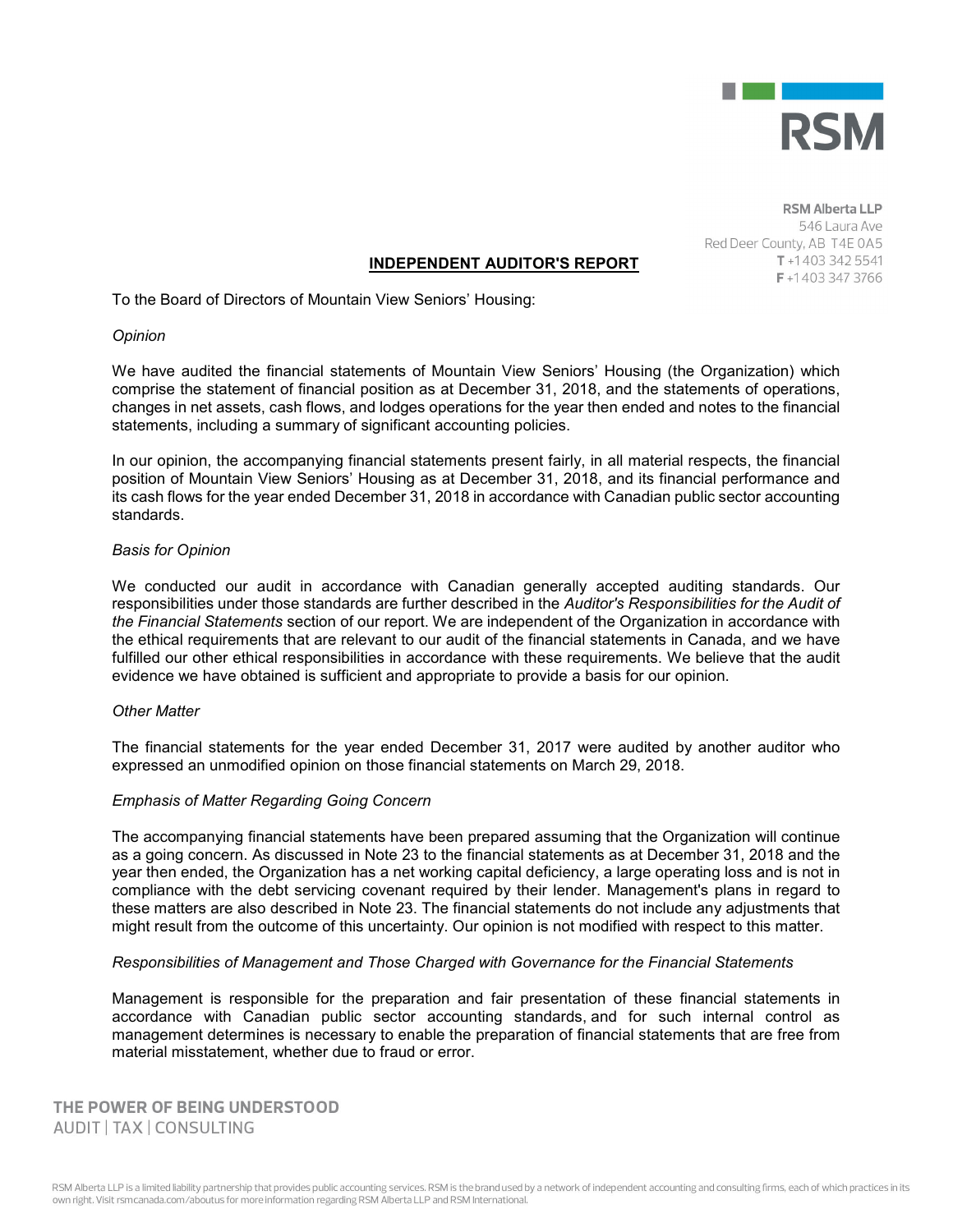

**RSM Alberta LLP** 546 Laura Ave Red Deer County, AB T4E 0A5 T+14033425541 F+14033473766

## **INDEPENDENT AUDITOR'S REPORT**

To the Board of Directors of Mountain View Seniors' Housing:

## *Opinion*

We have audited the financial statements of Mountain View Seniors' Housing (the Organization) which comprise the statement of financial position as at December 31, 2018, and the statements of operations, changes in net assets, cash flows, and lodges operations for the year then ended and notes to the financial statements, including a summary of significant accounting policies.

In our opinion, the accompanying financial statements present fairly, in all material respects, the financial position of Mountain View Seniors' Housing as at December 31, 2018, and its financial performance and its cash flows for the year ended December 31, 2018 in accordance with Canadian public sector accounting standards.

## *Basis for Opinion*

We conducted our audit in accordance with Canadian generally accepted auditing standards. Our responsibilities under those standards are further described in the *Auditor's Responsibilities for the Audit of the Financial Statements* section of our report. We are independent of the Organization in accordance with the ethical requirements that are relevant to our audit of the financial statements in Canada, and we have fulfilled our other ethical responsibilities in accordance with these requirements. We believe that the audit evidence we have obtained is sufficient and appropriate to provide a basis for our opinion.

## *Other Matter*

The financial statements for the year ended December 31, 2017 were audited by another auditor who expressed an unmodified opinion on those financial statements on March 29, 2018.

## *Emphasis of Matter Regarding Going Concern*

The accompanying financial statements have been prepared assuming that the Organization will continue as a going concern. As discussed in Note 23 to the financial statements as at December 31, 2018 and the year then ended, the Organization has a net working capital deficiency, a large operating loss and is not in compliance with the debt servicing covenant required by their lender. Management's plans in regard to these matters are also described in Note 23. The financial statements do not include any adjustments that might result from the outcome of this uncertainty. Our opinion is not modified with respect to this matter.

## *Responsibilities of Management and Those Charged with Governance for the Financial Statements*

Management is responsible for the preparation and fair presentation of these financial statements in accordance with Canadian public sector accounting standards, and for such internal control as management determines is necessary to enable the preparation of financial statements that are free from material misstatement, whether due to fraud or error.

THE POWER OF BEING UNDERSTOOD AUDIT | TAX | CONSULTING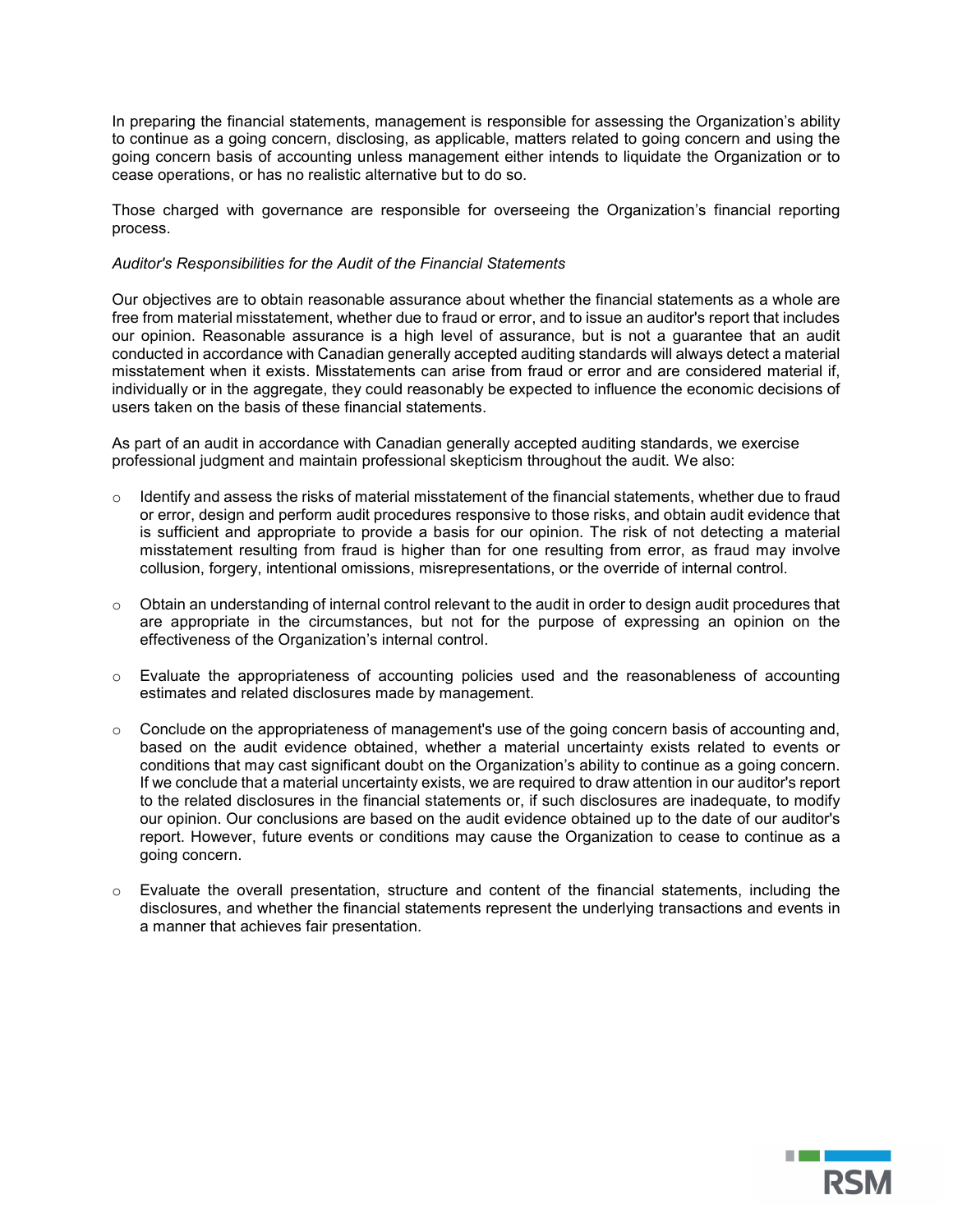In preparing the financial statements, management is responsible for assessing the Organization's ability to continue as a going concern, disclosing, as applicable, matters related to going concern and using the going concern basis of accounting unless management either intends to liquidate the Organization or to cease operations, or has no realistic alternative but to do so.

Those charged with governance are responsible for overseeing the Organization's financial reporting process.

## *Auditor's Responsibilities for the Audit of the Financial Statements*

Our objectives are to obtain reasonable assurance about whether the financial statements as a whole are free from material misstatement, whether due to fraud or error, and to issue an auditor's report that includes our opinion. Reasonable assurance is a high level of assurance, but is not a guarantee that an audit conducted in accordance with Canadian generally accepted auditing standards will always detect a material misstatement when it exists. Misstatements can arise from fraud or error and are considered material if, individually or in the aggregate, they could reasonably be expected to influence the economic decisions of users taken on the basis of these financial statements.

As part of an audit in accordance with Canadian generally accepted auditing standards, we exercise professional judgment and maintain professional skepticism throughout the audit. We also:

- $\circ$  Identify and assess the risks of material misstatement of the financial statements, whether due to fraud or error, design and perform audit procedures responsive to those risks, and obtain audit evidence that is sufficient and appropriate to provide a basis for our opinion. The risk of not detecting a material misstatement resulting from fraud is higher than for one resulting from error, as fraud may involve collusion, forgery, intentional omissions, misrepresentations, or the override of internal control.
- $\circ$  Obtain an understanding of internal control relevant to the audit in order to design audit procedures that are appropriate in the circumstances, but not for the purpose of expressing an opinion on the effectiveness of the Organization's internal control.
- o Evaluate the appropriateness of accounting policies used and the reasonableness of accounting estimates and related disclosures made by management.
- $\circ$  Conclude on the appropriateness of management's use of the going concern basis of accounting and, based on the audit evidence obtained, whether a material uncertainty exists related to events or conditions that may cast significant doubt on the Organization's ability to continue as a going concern. If we conclude that a material uncertainty exists, we are required to draw attention in our auditor's report to the related disclosures in the financial statements or, if such disclosures are inadequate, to modify our opinion. Our conclusions are based on the audit evidence obtained up to the date of our auditor's report. However, future events or conditions may cause the Organization to cease to continue as a going concern.
- Evaluate the overall presentation, structure and content of the financial statements, including the disclosures, and whether the financial statements represent the underlying transactions and events in a manner that achieves fair presentation.

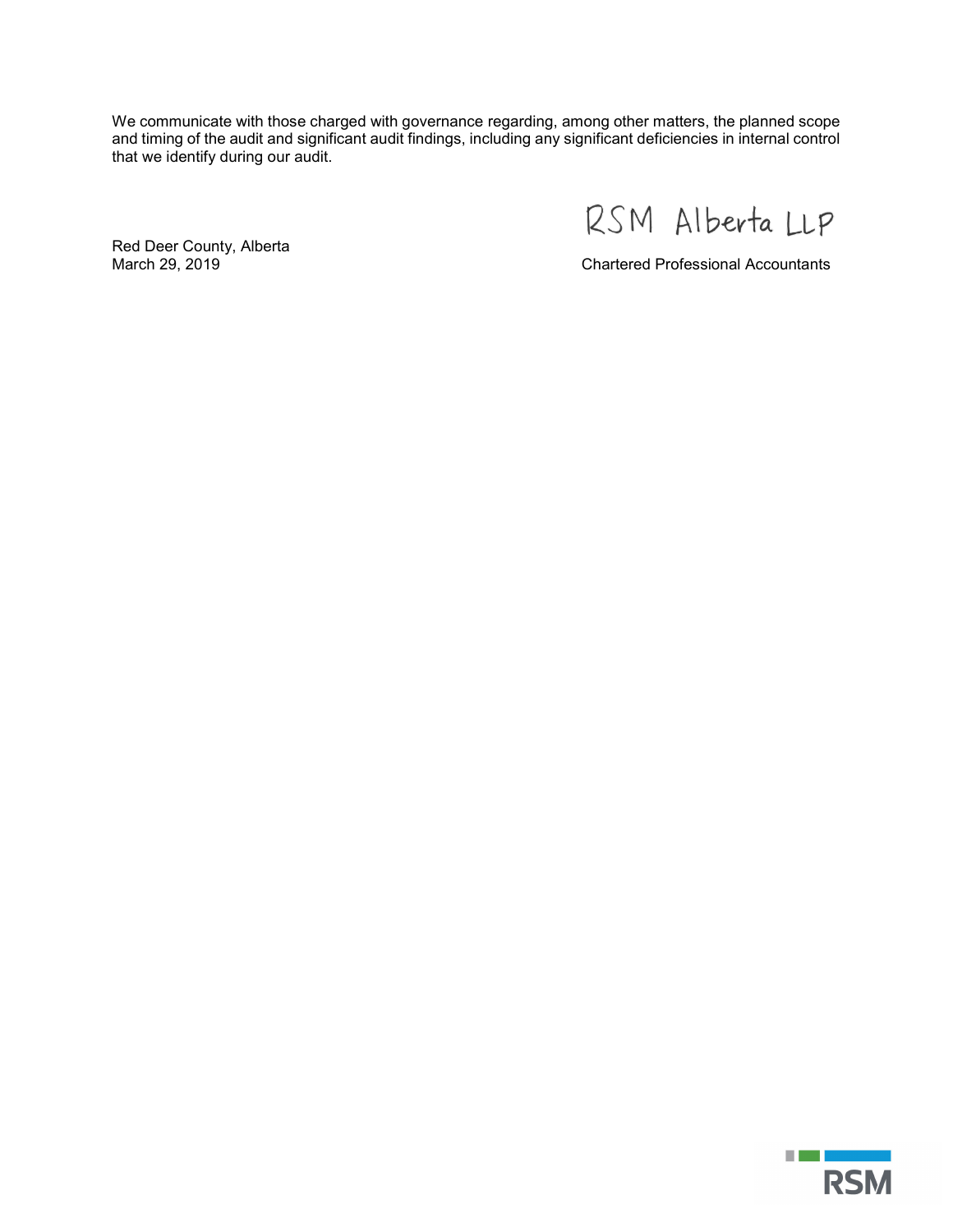We communicate with those charged with governance regarding, among other matters, the planned scope and timing of the audit and significant audit findings, including any significant deficiencies in internal control that we identify during our audit.

RSM Alberta LLP

Red Deer County, Alberta<br>March 29, 2019

**Chartered Professional Accountants** 

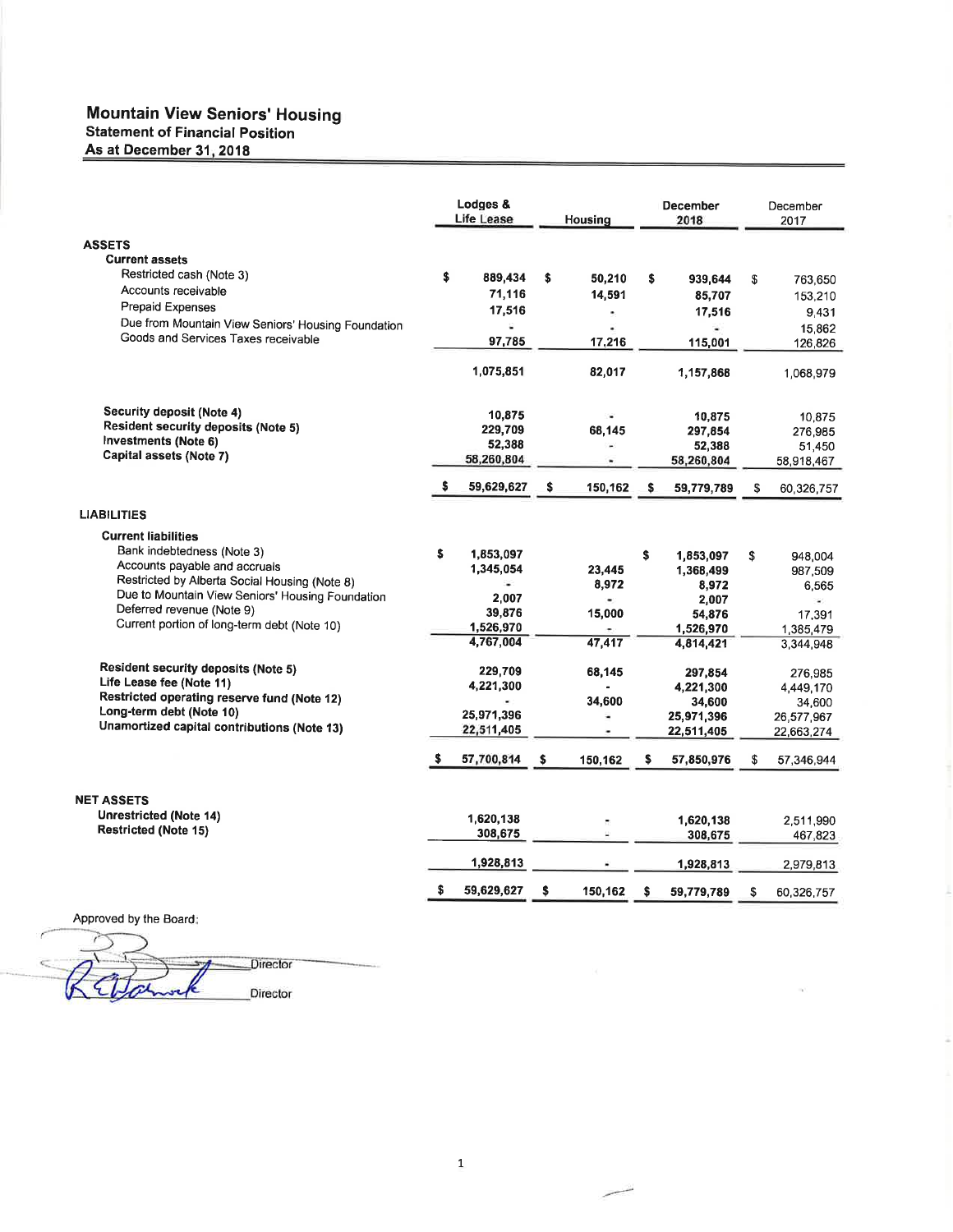# **Mountain View Seniors' Housing<br>Statement of Financial Position<br>As at December 31, 2018**

|                                                                                                   | Lodges &<br>Life Lease |                 |    | Housing        |    | December<br>2018    |    |                     | December<br>2017 |  |  |
|---------------------------------------------------------------------------------------------------|------------------------|-----------------|----|----------------|----|---------------------|----|---------------------|------------------|--|--|
| <b>ASSETS</b><br><b>Current assets</b>                                                            |                        |                 |    |                |    |                     |    |                     |                  |  |  |
| Restricted cash (Note 3)                                                                          | \$                     | 889,434         | \$ | 50,210         | \$ | 939,644             | S  | 763,650             |                  |  |  |
| Accounts receivable                                                                               |                        | 71,116          |    | 14,591         |    | 85,707              |    | 153,210             |                  |  |  |
| <b>Prepaid Expenses</b>                                                                           |                        | 17,516          |    |                |    | 17,516              |    | 9,431               |                  |  |  |
| Due from Mountain View Seniors' Housing Foundation                                                |                        | G.              |    |                |    | ¥.                  |    | 15,862              |                  |  |  |
| Goods and Services Taxes receivable                                                               |                        | 97,785          |    | 17,216         |    | 115,001             |    | 126,826             |                  |  |  |
|                                                                                                   |                        | 1,075,851       |    | 82,017         |    | 1,157,868           |    | 1,068,979           |                  |  |  |
| <b>Security deposit (Note 4)</b>                                                                  |                        | 10,875          |    |                |    |                     |    |                     |                  |  |  |
| <b>Resident security deposits (Note 5)</b>                                                        |                        | 229,709         |    | 68.145         |    | 10,875<br>297,854   |    | 10,875<br>276,985   |                  |  |  |
| Investments (Note 6)                                                                              |                        | 52,388          |    | $\blacksquare$ |    | 52,388              |    | 51,450              |                  |  |  |
| Capital assets (Note 7)                                                                           |                        | 58,260,804      |    |                |    | 58,260,804          |    | 58,918,467          |                  |  |  |
|                                                                                                   | \$                     | 59,629,627      | \$ | 150,162        | \$ | 59,779,789          | S  | 60,326,757          |                  |  |  |
| <b>LIABILITIES</b>                                                                                |                        |                 |    |                |    |                     |    |                     |                  |  |  |
| <b>Current liabilities</b>                                                                        |                        |                 |    |                |    |                     |    |                     |                  |  |  |
| Bank indebtedness (Note 3)                                                                        | \$                     | 1,853,097       |    |                | \$ | 1,853,097           | \$ | 948,004             |                  |  |  |
| Accounts payable and accruals                                                                     |                        | 1,345,054       |    | 23,445         |    | 1,368,499           |    | 987,509             |                  |  |  |
| Restricted by Alberta Social Housing (Note 8)<br>Due to Mountain View Seniors' Housing Foundation |                        |                 |    | 8,972          |    | 8,972               |    | 6.565               |                  |  |  |
| Deferred revenue (Note 9)                                                                         |                        | 2,007<br>39,876 |    | ×.             |    | 2,007               |    | ¥6                  |                  |  |  |
| Current portion of long-term debt (Note 10)                                                       |                        | 1,526,970       |    | 15,000         |    | 54,876<br>1,526,970 |    | 17.391<br>1,385,479 |                  |  |  |
|                                                                                                   |                        | 4,767,004       |    | 47,417         |    | 4,814,421           |    | 3,344,948           |                  |  |  |
| <b>Resident security deposits (Note 5)</b>                                                        |                        | 229,709         |    | 68,145         |    | 297,854             |    | 276,985             |                  |  |  |
| Life Lease fee (Note 11)                                                                          |                        | 4,221,300       |    |                |    | 4,221,300           |    | 4,449,170           |                  |  |  |
| Restricted operating reserve fund (Note 12)                                                       |                        |                 |    | 34,600         |    | 34,600              |    | 34,600              |                  |  |  |
| Long-term debt (Note 10)                                                                          |                        | 25,971,396      |    |                |    | 25,971,396          |    | 26,577,967          |                  |  |  |
| Unamortized capital contributions (Note 13)                                                       |                        | 22,511,405      |    |                |    | 22,511,405          |    | 22,663,274          |                  |  |  |
|                                                                                                   | \$                     | 57,700,814      | s. | 150,162        | s  | 57,850,976          | \$ | 57,346,944          |                  |  |  |
| <b>NET ASSETS</b>                                                                                 |                        |                 |    |                |    |                     |    |                     |                  |  |  |
| Unrestricted (Note 14)                                                                            |                        | 1,620,138       |    |                |    | 1,620,138           |    | 2,511,990           |                  |  |  |
| <b>Restricted (Note 15)</b>                                                                       |                        | 308,675         |    |                |    | 308,675             |    | 467,823             |                  |  |  |
|                                                                                                   |                        | 1,928,813       |    |                |    | 1,928,813           |    | 2,979,813           |                  |  |  |
|                                                                                                   | s                      | 59,629,627      | \$ | 150,162        | \$ | 59,779,789          | \$ | 60,326,757          |                  |  |  |
|                                                                                                   |                        |                 |    |                |    |                     |    |                     |                  |  |  |

Approved by the Board:

Director **Director** 

نش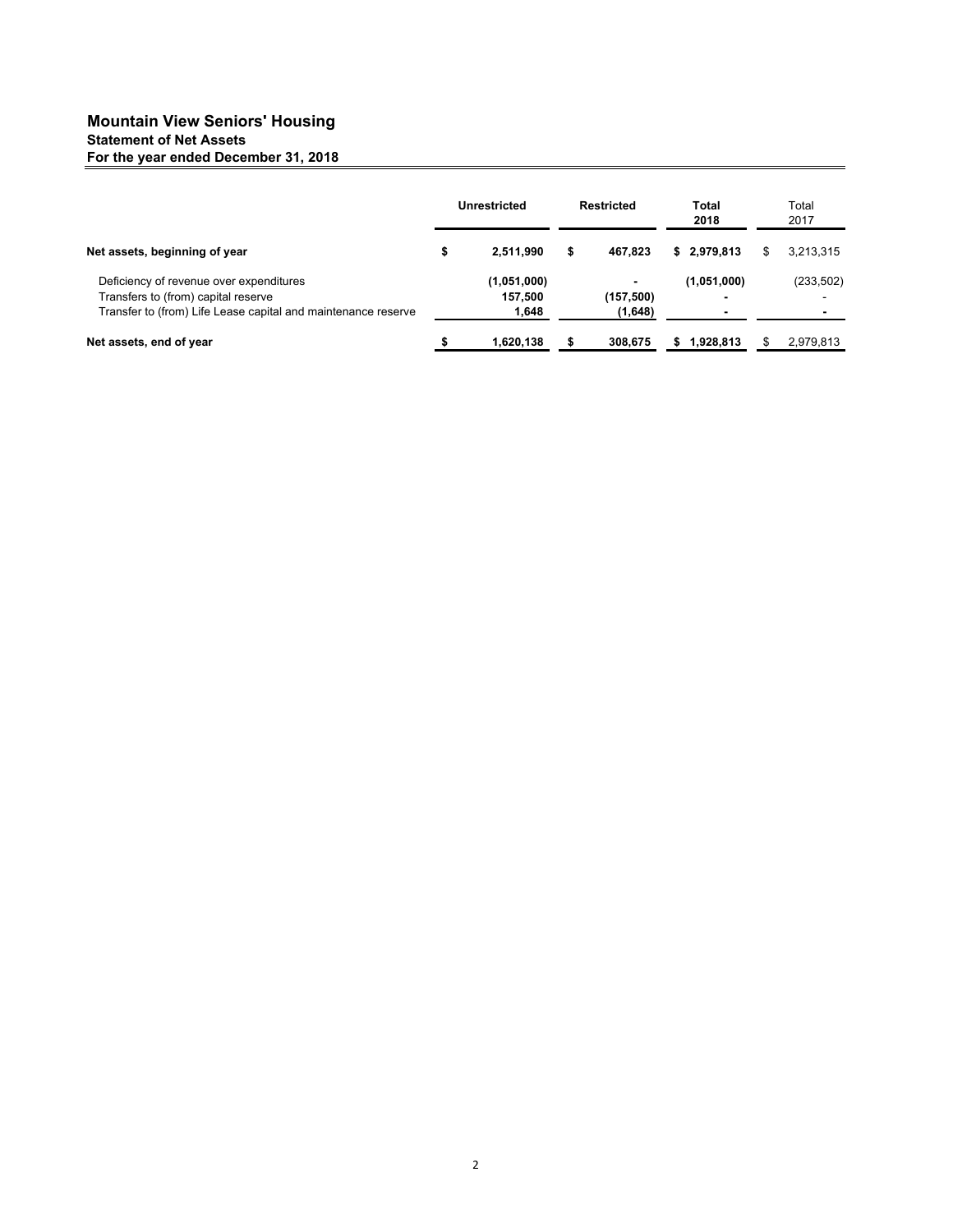## **Mountain View Seniors' Housing Statement of Net Assets For the year ended December 31, 2018**

|                                                               |  | <b>Unrestricted</b> | <b>Restricted</b> | Total<br>2018   | Total<br>2017 |            |
|---------------------------------------------------------------|--|---------------------|-------------------|-----------------|---------------|------------|
| Net assets, beginning of year                                 |  | 2.511.990           | \$<br>467.823     | \$2,979,813     | æ.            | 3,213,315  |
| Deficiency of revenue over expenditures                       |  | (1,051,000)         | $\blacksquare$    | (1,051,000)     |               | (233, 502) |
| Transfers to (from) capital reserve                           |  | 157,500             | (157, 500)        | -               |               |            |
| Transfer to (from) Life Lease capital and maintenance reserve |  | 1,648               | (1,648)           |                 |               |            |
| Net assets, end of year                                       |  | 1,620,138           | 308.675           | 1,928,813<br>S. |               | 2,979,813  |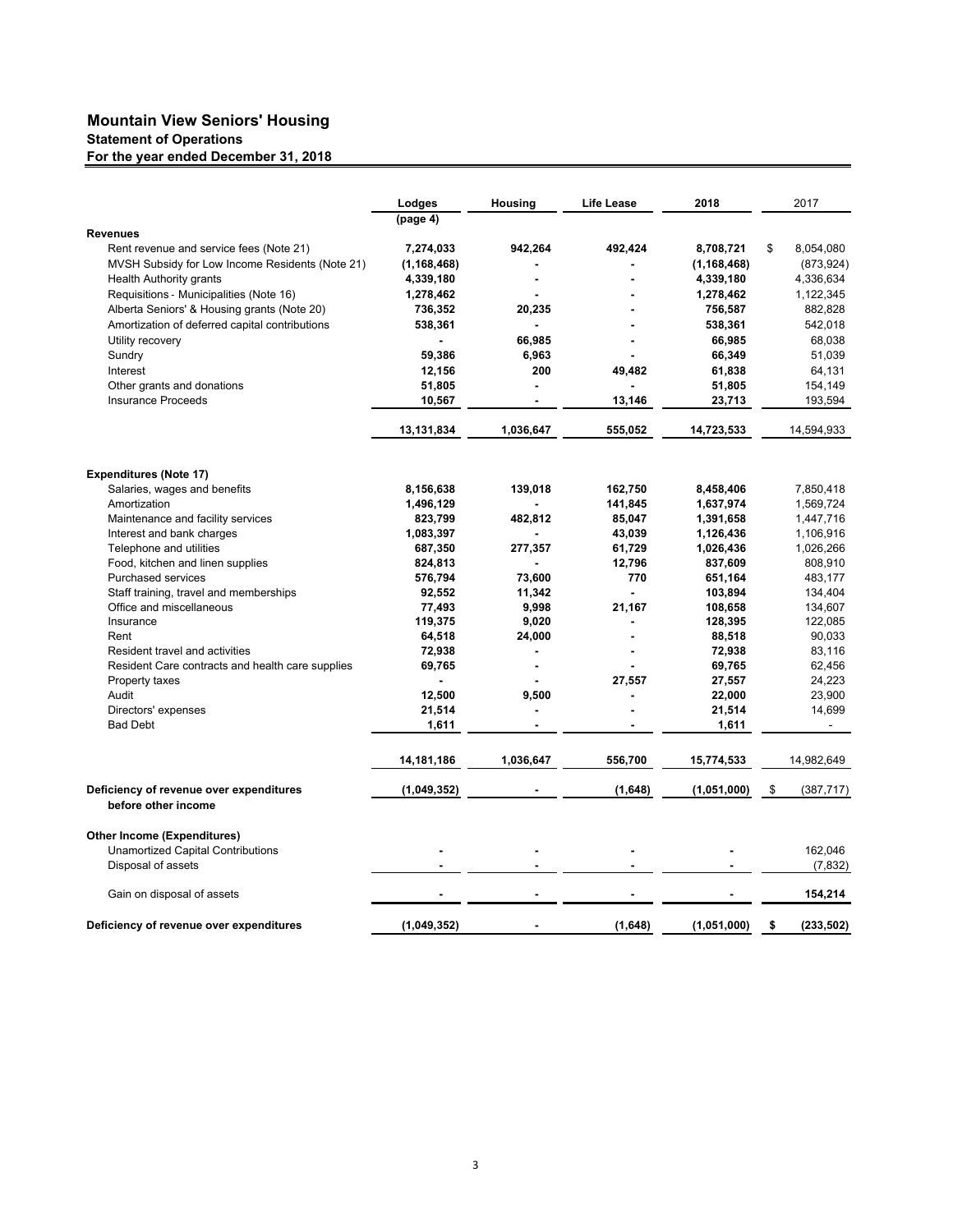## **Mountain View Seniors' Housing Statement of Operations For the year ended December 31, 2018**

|                                                               | Lodges        | <b>Housing</b> | <b>Life Lease</b> | 2018          | 2017             |
|---------------------------------------------------------------|---------------|----------------|-------------------|---------------|------------------|
|                                                               | (page 4)      |                |                   |               |                  |
| <b>Revenues</b>                                               |               |                |                   |               |                  |
| Rent revenue and service fees (Note 21)                       | 7,274,033     | 942,264        | 492,424           | 8,708,721     | \$<br>8,054,080  |
| MVSH Subsidy for Low Income Residents (Note 21)               | (1, 168, 468) |                |                   | (1, 168, 468) | (873, 924)       |
| <b>Health Authority grants</b>                                | 4,339,180     |                |                   | 4,339,180     | 4,336,634        |
| Requisitions - Municipalities (Note 16)                       | 1,278,462     |                |                   | 1,278,462     | 1,122,345        |
| Alberta Seniors' & Housing grants (Note 20)                   | 736,352       | 20,235         |                   | 756,587       | 882,828          |
| Amortization of deferred capital contributions                | 538,361       |                |                   | 538,361       | 542,018          |
| Utility recovery                                              |               | 66,985         |                   | 66,985        | 68,038           |
| Sundry                                                        | 59,386        | 6,963          |                   | 66,349        | 51,039           |
| Interest                                                      | 12,156        | 200            | 49,482            | 61,838        | 64,131           |
| Other grants and donations                                    | 51,805        |                |                   | 51,805        | 154,149          |
| <b>Insurance Proceeds</b>                                     | 10,567        | $\blacksquare$ | 13,146            | 23,713        | 193,594          |
|                                                               | 13,131,834    | 1,036,647      | 555,052           | 14,723,533    | 14,594,933       |
|                                                               |               |                |                   |               |                  |
| <b>Expenditures (Note 17)</b><br>Salaries, wages and benefits | 8,156,638     | 139,018        | 162,750           | 8,458,406     | 7,850,418        |
| Amortization                                                  | 1,496,129     |                | 141,845           | 1,637,974     | 1,569,724        |
| Maintenance and facility services                             | 823,799       | 482,812        | 85,047            | 1,391,658     | 1,447,716        |
| Interest and bank charges                                     | 1,083,397     |                | 43,039            | 1,126,436     | 1,106,916        |
| Telephone and utilities                                       | 687,350       | 277,357        | 61,729            | 1,026,436     | 1,026,266        |
| Food, kitchen and linen supplies                              | 824,813       |                | 12,796            | 837,609       | 808,910          |
| Purchased services                                            | 576,794       | 73.600         | 770               | 651,164       | 483.177          |
| Staff training, travel and memberships                        | 92,552        | 11,342         | ä,                | 103,894       | 134,404          |
| Office and miscellaneous                                      | 77,493        | 9,998          | 21,167            | 108,658       | 134,607          |
| Insurance                                                     | 119,375       | 9,020          |                   | 128,395       | 122,085          |
| Rent                                                          | 64,518        | 24,000         |                   | 88,518        | 90.033           |
| Resident travel and activities                                | 72,938        | ä,             |                   | 72,938        | 83.116           |
| Resident Care contracts and health care supplies              | 69,765        |                |                   | 69,765        | 62,456           |
| Property taxes                                                |               |                | 27,557            | 27,557        | 24,223           |
| Audit                                                         | 12,500        | 9,500          |                   | 22,000        | 23,900           |
| Directors' expenses                                           | 21,514        |                |                   | 21,514        | 14,699           |
| <b>Bad Debt</b>                                               | 1,611         |                |                   | 1,611         |                  |
|                                                               | 14,181,186    | 1,036,647      | 556,700           | 15,774,533    | 14,982,649       |
| Deficiency of revenue over expenditures                       | (1,049,352)   |                | (1,648)           | (1,051,000)   | \$<br>(387, 717) |
| before other income                                           |               |                |                   |               |                  |
| <b>Other Income (Expenditures)</b>                            |               |                |                   |               |                  |
| <b>Unamortized Capital Contributions</b>                      |               |                |                   |               | 162,046          |
| Disposal of assets                                            |               |                |                   |               | (7, 832)         |
| Gain on disposal of assets                                    |               |                |                   |               | 154,214          |
| Deficiency of revenue over expenditures                       | (1,049,352)   |                | (1,648)           | (1,051,000)   | \$<br>(233, 502) |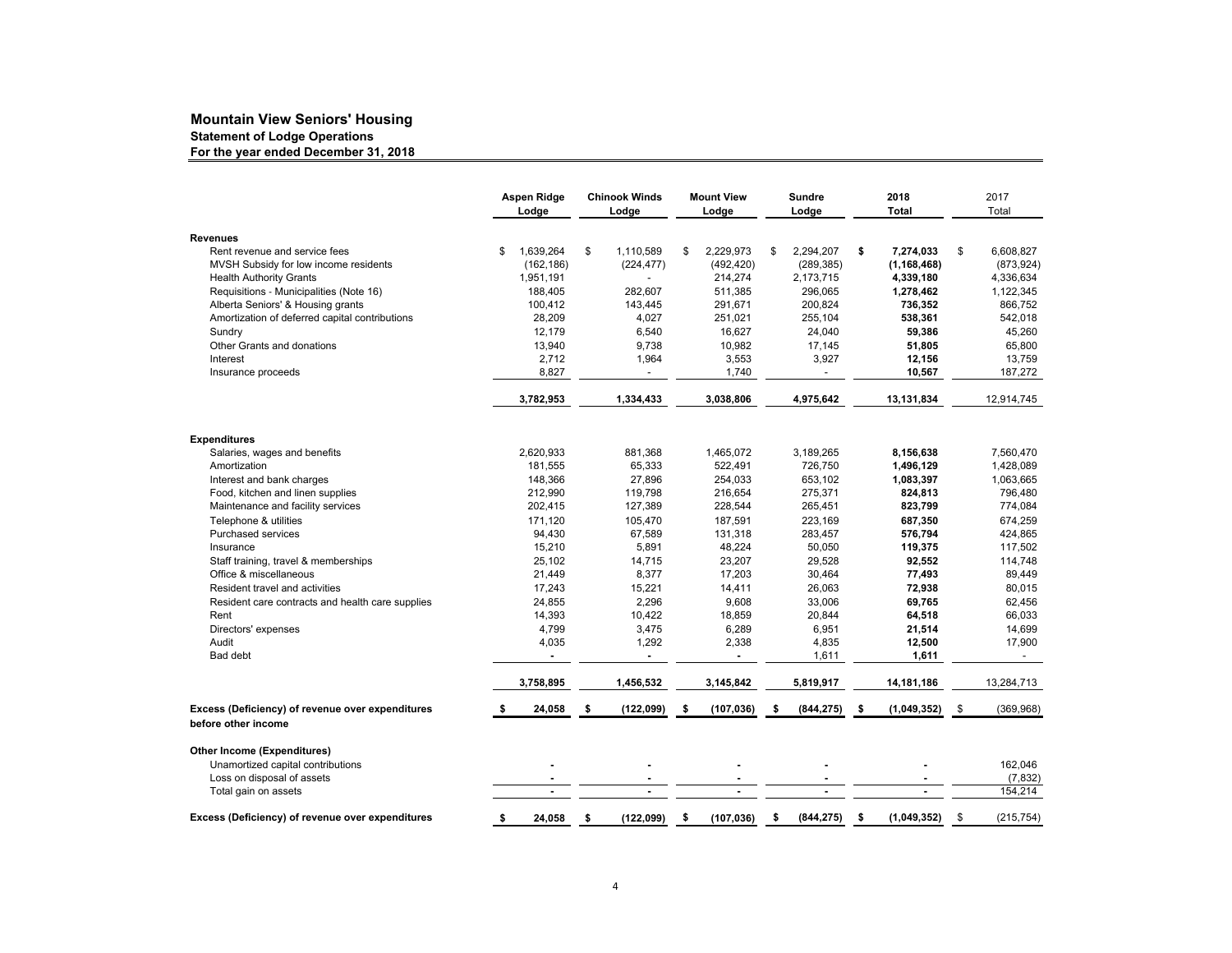#### **Statement of Lodge Operations For the year ended December 31, 2018 Mountain View Seniors' Housing**

|                                                                         |      | <b>Aspen Ridge</b><br>Lodge | <b>Chinook Winds</b><br>Lodge | <b>Mount View</b><br>Lodge |      | Sundre<br>Lodge |      | 2018<br><b>Total</b> |      | 2017<br>Total  |
|-------------------------------------------------------------------------|------|-----------------------------|-------------------------------|----------------------------|------|-----------------|------|----------------------|------|----------------|
| <b>Revenues</b>                                                         |      |                             |                               |                            |      |                 |      |                      |      |                |
| Rent revenue and service fees                                           | \$   | 1,639,264                   | \$<br>1,110,589               | \$<br>2,229,973            | \$   | 2,294,207       | \$   | 7,274,033            | \$   | 6,608,827      |
| MVSH Subsidy for low income residents                                   |      | (162, 186)                  | (224, 477)                    | (492, 420)                 |      | (289, 385)      |      | (1, 168, 468)        |      | (873, 924)     |
| <b>Health Authority Grants</b>                                          |      | 1,951,191                   |                               | 214,274                    |      | 2,173,715       |      | 4,339,180            |      | 4,336,634      |
| Requisitions - Municipalities (Note 16)                                 |      | 188,405                     | 282,607                       | 511,385                    |      | 296,065         |      | 1,278,462            |      | 1,122,345      |
| Alberta Seniors' & Housing grants                                       |      | 100,412                     | 143,445                       | 291,671                    |      | 200,824         |      | 736,352              |      | 866,752        |
| Amortization of deferred capital contributions                          |      | 28,209                      | 4,027                         | 251,021                    |      | 255,104         |      | 538,361              |      | 542,018        |
| Sundry                                                                  |      | 12,179                      | 6,540                         | 16,627                     |      | 24,040          |      | 59,386               |      | 45,260         |
| Other Grants and donations                                              |      | 13,940                      | 9,738                         | 10,982                     |      | 17,145          |      | 51,805               |      | 65,800         |
| Interest                                                                |      | 2,712                       | 1,964                         | 3,553                      |      | 3,927           |      | 12,156               |      | 13,759         |
| Insurance proceeds                                                      |      | 8,827                       |                               | 1,740                      |      |                 |      | 10,567               |      | 187,272        |
|                                                                         |      | 3,782,953                   | 1,334,433                     | 3,038,806                  |      | 4,975,642       |      | 13,131,834           |      | 12,914,745     |
| <b>Expenditures</b>                                                     |      |                             |                               |                            |      |                 |      |                      |      |                |
| Salaries, wages and benefits                                            |      | 2,620,933                   | 881,368                       | 1,465,072                  |      | 3,189,265       |      | 8,156,638            |      | 7,560,470      |
| Amortization                                                            |      | 181,555                     | 65,333                        | 522,491                    |      | 726,750         |      | 1,496,129            |      | 1,428,089      |
| Interest and bank charges                                               |      | 148,366                     | 27,896                        | 254,033                    |      | 653,102         |      | 1,083,397            |      | 1,063,665      |
| Food, kitchen and linen supplies                                        |      | 212,990                     | 119,798                       | 216,654                    |      | 275,371         |      | 824,813              |      | 796,480        |
| Maintenance and facility services                                       |      | 202,415                     | 127,389                       | 228,544                    |      | 265,451         |      | 823,799              |      | 774,084        |
| Telephone & utilities                                                   |      | 171,120                     | 105,470                       | 187,591                    |      | 223,169         |      | 687,350              |      | 674,259        |
| <b>Purchased services</b>                                               |      | 94,430                      | 67,589                        | 131,318                    |      | 283,457         |      | 576,794              |      | 424,865        |
| Insurance                                                               |      | 15,210                      | 5,891                         | 48,224                     |      | 50,050          |      | 119,375              |      | 117,502        |
| Staff training, travel & memberships                                    |      | 25,102                      | 14,715                        | 23,207                     |      | 29,528          |      | 92,552               |      | 114,748        |
| Office & miscellaneous                                                  |      | 21,449                      | 8,377                         | 17,203                     |      | 30,464          |      | 77,493               |      | 89,449         |
| Resident travel and activities                                          |      | 17,243                      | 15,221                        | 14,411                     |      | 26,063          |      | 72,938               |      | 80,015         |
| Resident care contracts and health care supplies                        |      | 24,855                      | 2,296                         | 9,608                      |      | 33,006          |      | 69,765               |      | 62,456         |
| Rent                                                                    |      | 14,393                      | 10,422                        | 18,859                     |      | 20,844          |      | 64,518               |      | 66,033         |
| Directors' expenses                                                     |      | 4,799                       | 3,475                         | 6,289                      |      | 6,951           |      | 21,514               |      | 14,699         |
| Audit                                                                   |      | 4,035                       | 1,292                         | 2,338                      |      | 4,835           |      | 12,500               |      | 17,900         |
| Bad debt                                                                |      |                             |                               | ÷.                         |      | 1,611           |      | 1,611                |      | $\overline{a}$ |
|                                                                         |      | 3,758,895                   | 1,456,532                     | 3,145,842                  |      | 5,819,917       |      | 14,181,186           |      | 13,284,713     |
| Excess (Deficiency) of revenue over expenditures<br>before other income | - 56 | 24,058                      | \$<br>(122,099)               | \$<br>(107, 036)           | - \$ | (844, 275)      | - \$ | (1,049,352)          | - \$ | (369, 968)     |
|                                                                         |      |                             |                               |                            |      |                 |      |                      |      |                |
| <b>Other Income (Expenditures)</b>                                      |      |                             |                               |                            |      |                 |      |                      |      | 162,046        |
| Unamortized capital contributions                                       |      |                             |                               |                            |      |                 |      |                      |      |                |
| Loss on disposal of assets                                              |      |                             | $\blacksquare$                | $\overline{\phantom{a}}$   |      |                 |      |                      |      | (7, 832)       |
| Total gain on assets                                                    |      |                             |                               |                            |      |                 |      |                      |      | 154,214        |
| Excess (Deficiency) of revenue over expenditures                        | \$   | 24,058                      | \$<br>(122,099)               | \$<br>(107, 036)           | \$   | (844, 275)      | Ŝ.   | (1,049,352)          | \$   | (215, 754)     |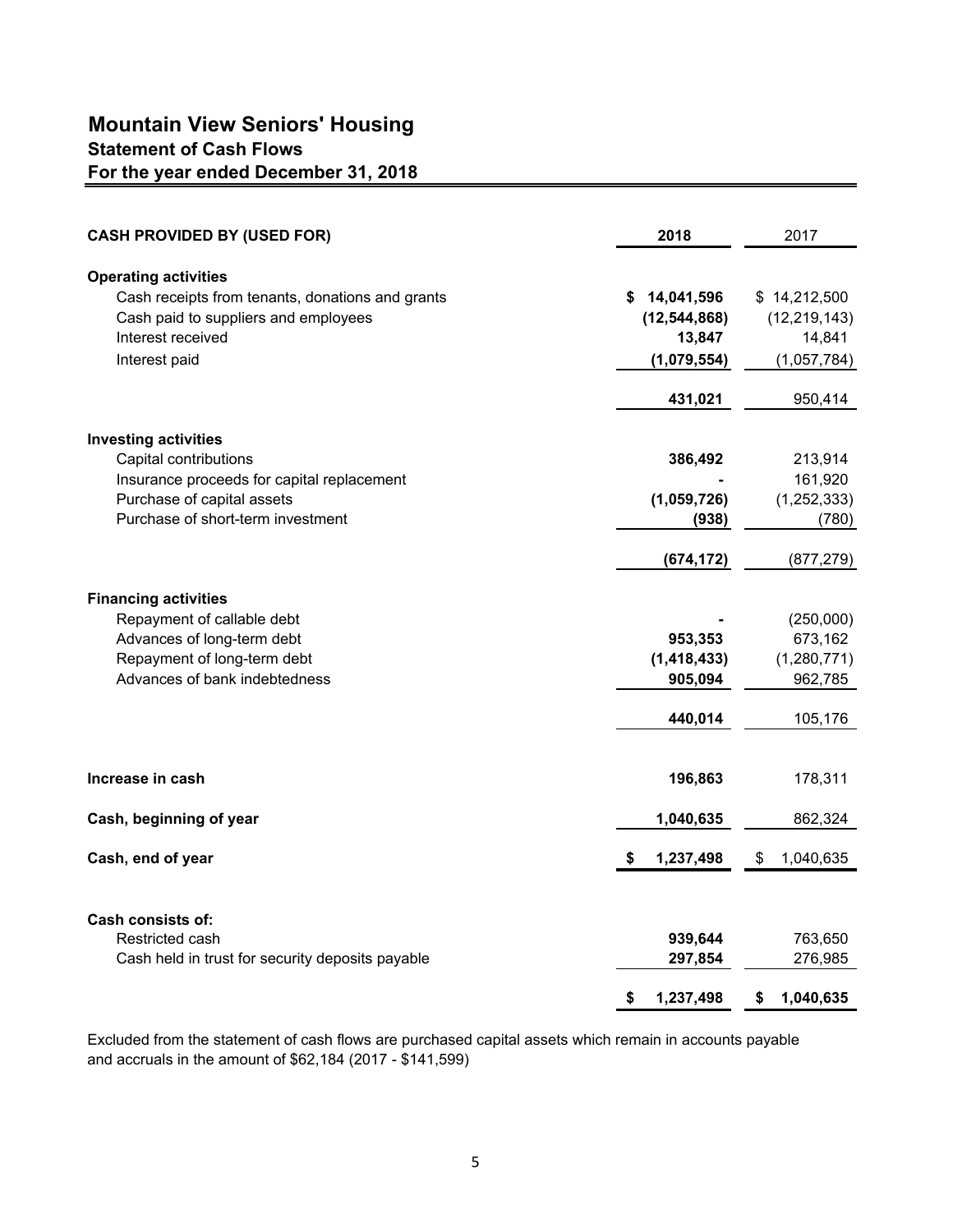| <b>CASH PROVIDED BY (USED FOR)</b>               | 2018             | 2017            |
|--------------------------------------------------|------------------|-----------------|
| <b>Operating activities</b>                      |                  |                 |
| Cash receipts from tenants, donations and grants | 14,041,596<br>\$ | \$14,212,500    |
| Cash paid to suppliers and employees             | (12, 544, 868)   | (12, 219, 143)  |
| Interest received                                | 13,847           | 14,841          |
| Interest paid                                    | (1,079,554)      | (1,057,784)     |
|                                                  | 431,021          | 950,414         |
| <b>Investing activities</b>                      |                  |                 |
| Capital contributions                            | 386,492          | 213,914         |
| Insurance proceeds for capital replacement       |                  | 161,920         |
| Purchase of capital assets                       | (1,059,726)      | (1, 252, 333)   |
| Purchase of short-term investment                | (938)            | (780)           |
|                                                  |                  |                 |
|                                                  | (674, 172)       | (877, 279)      |
| <b>Financing activities</b>                      |                  |                 |
| Repayment of callable debt                       |                  | (250,000)       |
| Advances of long-term debt                       | 953,353          | 673,162         |
| Repayment of long-term debt                      | (1, 418, 433)    | (1,280,771)     |
| Advances of bank indebtedness                    | 905,094          | 962,785         |
|                                                  | 440,014          | 105,176         |
|                                                  |                  |                 |
| Increase in cash                                 | 196,863          | 178,311         |
| Cash, beginning of year                          | 1,040,635        | 862,324         |
| Cash, end of year                                | 1,237,498<br>S   | 1,040,635<br>\$ |
|                                                  |                  |                 |
| Cash consists of:                                |                  |                 |
| Restricted cash                                  | 939,644          | 763,650         |
| Cash held in trust for security deposits payable | 297,854          | 276,985         |
|                                                  | \$<br>1,237,498  | 1,040,635<br>\$ |

Excluded from the statement of cash flows are purchased capital assets which remain in accounts payable and accruals in the amount of \$62,184 (2017 - \$141,599)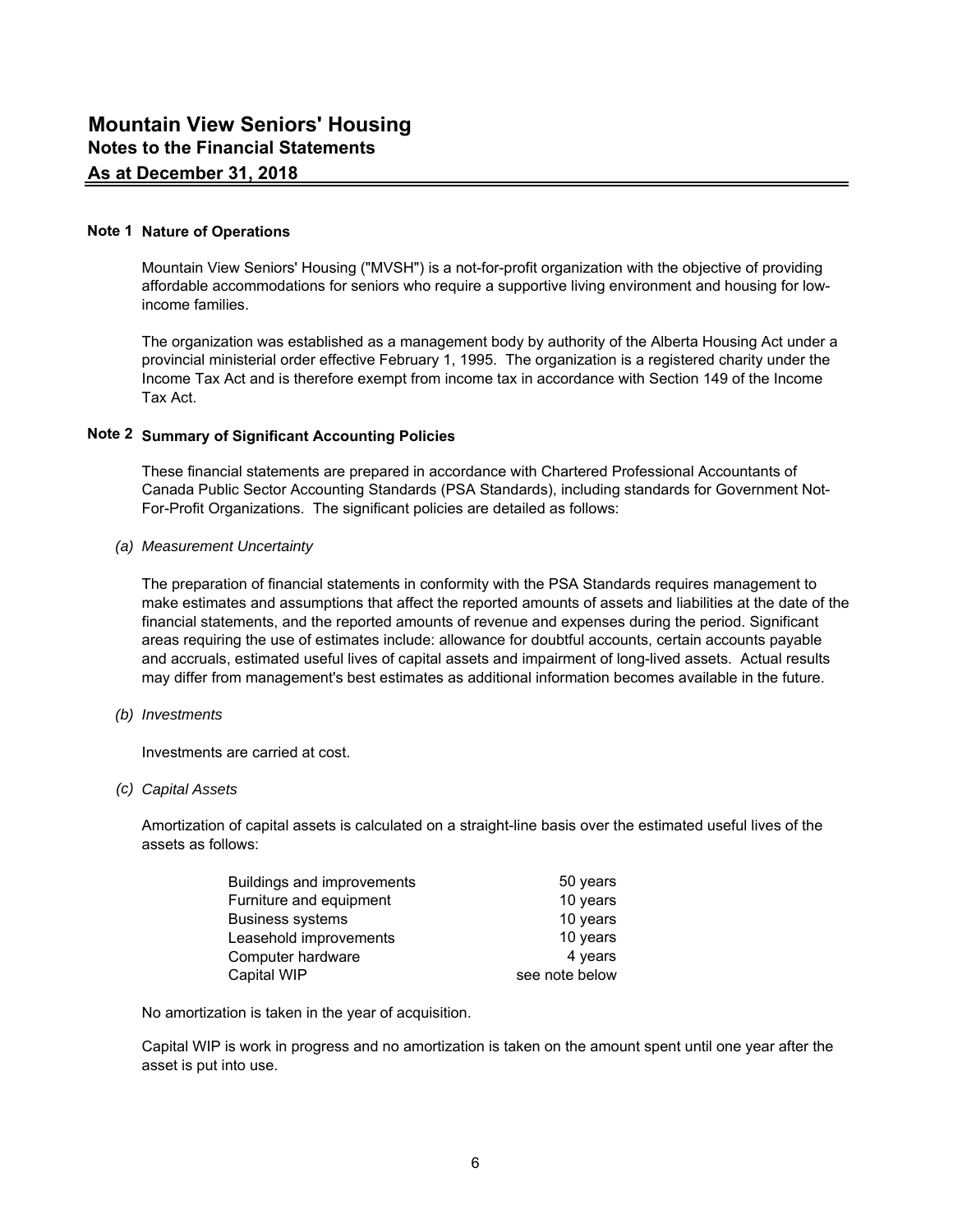## **Note 1 Nature of Operations**

Mountain View Seniors' Housing ("MVSH") is a not-for-profit organization with the objective of providing affordable accommodations for seniors who require a supportive living environment and housing for lowincome families.

The organization was established as a management body by authority of the Alberta Housing Act under a provincial ministerial order effective February 1, 1995. The organization is a registered charity under the Income Tax Act and is therefore exempt from income tax in accordance with Section 149 of the Income Tax Act.

## **Note 2 Summary of Significant Accounting Policies**

These financial statements are prepared in accordance with Chartered Professional Accountants of Canada Public Sector Accounting Standards (PSA Standards), including standards for Government Not-For-Profit Organizations. The significant policies are detailed as follows:

*(a) Measurement Uncertainty*

The preparation of financial statements in conformity with the PSA Standards requires management to make estimates and assumptions that affect the reported amounts of assets and liabilities at the date of the financial statements, and the reported amounts of revenue and expenses during the period. Significant areas requiring the use of estimates include: allowance for doubtful accounts, certain accounts payable and accruals, estimated useful lives of capital assets and impairment of long-lived assets. Actual results may differ from management's best estimates as additional information becomes available in the future.

## *(b) Investments*

Investments are carried at cost.

## *(c) Capital Assets*

Amortization of capital assets is calculated on a straight-line basis over the estimated useful lives of the assets as follows:

| Buildings and improvements | 50 years       |
|----------------------------|----------------|
| Furniture and equipment    | 10 years       |
| <b>Business systems</b>    | 10 years       |
| Leasehold improvements     | 10 years       |
| Computer hardware          | 4 years        |
| Capital WIP                | see note below |

No amortization is taken in the year of acquisition.

Capital WIP is work in progress and no amortization is taken on the amount spent until one year after the asset is put into use.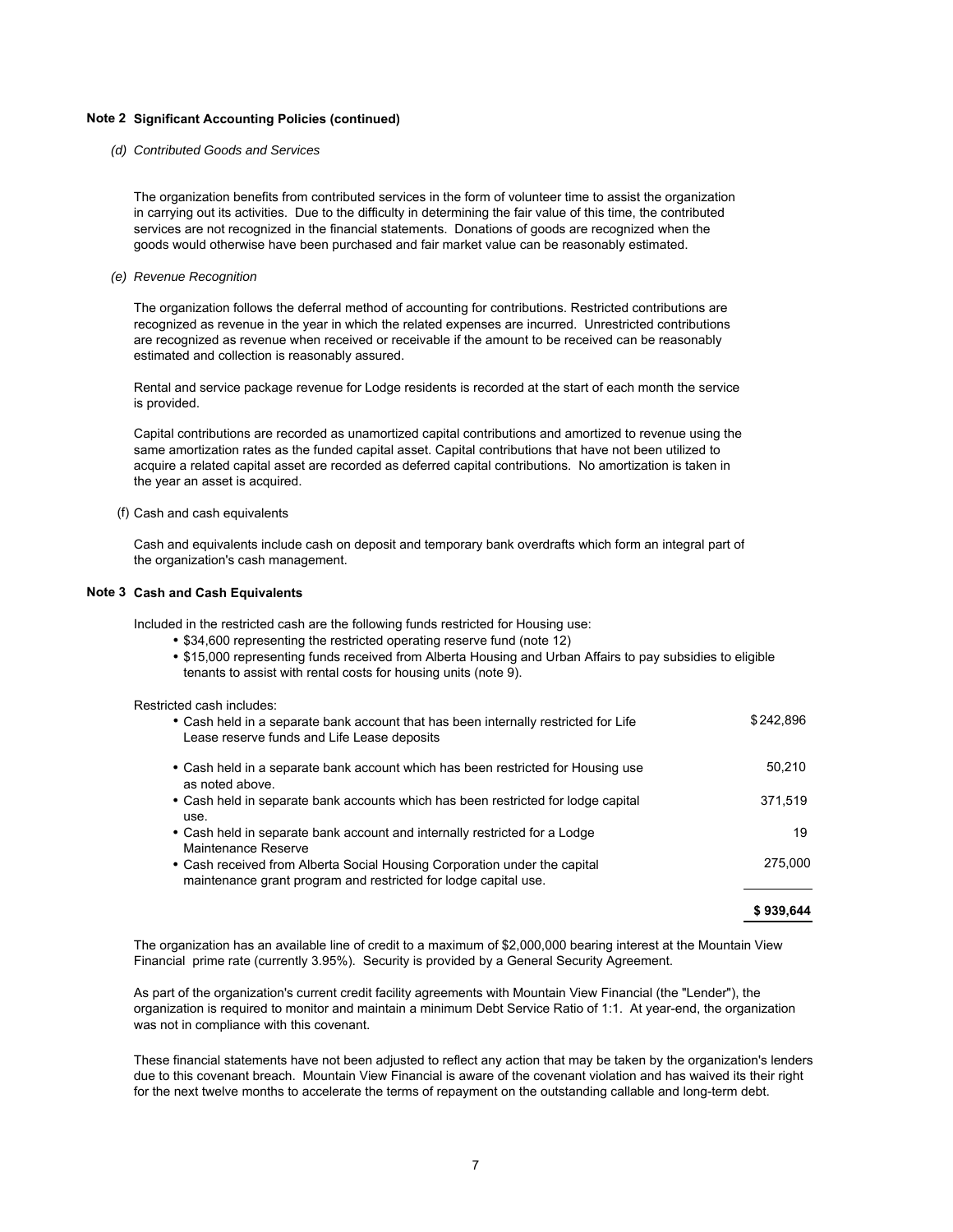#### **Note 2 Significant Accounting Policies (continued)**

*(d) Contributed Goods and Services*

The organization benefits from contributed services in the form of volunteer time to assist the organization in carrying out its activities. Due to the difficulty in determining the fair value of this time, the contributed services are not recognized in the financial statements. Donations of goods are recognized when the goods would otherwise have been purchased and fair market value can be reasonably estimated.

*(e) Revenue Recognition*

The organization follows the deferral method of accounting for contributions. Restricted contributions are recognized as revenue in the year in which the related expenses are incurred. Unrestricted contributions are recognized as revenue when received or receivable if the amount to be received can be reasonably estimated and collection is reasonably assured.

Rental and service package revenue for Lodge residents is recorded at the start of each month the service is provided.

Capital contributions are recorded as unamortized capital contributions and amortized to revenue using the same amortization rates as the funded capital asset. Capital contributions that have not been utilized to acquire a related capital asset are recorded as deferred capital contributions. No amortization is taken in the year an asset is acquired.

(f) Cash and cash equivalents

Cash and equivalents include cash on deposit and temporary bank overdrafts which form an integral part of the organization's cash management.

#### **Note 3 Cash and Cash Equivalents**

Included in the restricted cash are the following funds restricted for Housing use:

- \$34,600 representing the restricted operating reserve fund (note 12)
- \$15,000 representing funds received from Alberta Housing and Urban Affairs to pay subsidies to eligible tenants to assist with rental costs for housing units (note 9).

## Restricted cash includes:

| • Cash held in a separate bank account that has been internally restricted for Life<br>Lease reserve funds and Life Lease deposits           | \$242.896 |
|----------------------------------------------------------------------------------------------------------------------------------------------|-----------|
| • Cash held in a separate bank account which has been restricted for Housing use<br>as noted above.                                          | 50.210    |
| • Cash held in separate bank accounts which has been restricted for lodge capital<br>use.                                                    | 371.519   |
| • Cash held in separate bank account and internally restricted for a Lodge<br>Maintenance Reserve                                            | 19        |
| • Cash received from Alberta Social Housing Corporation under the capital<br>maintenance grant program and restricted for lodge capital use. | 275,000   |
|                                                                                                                                              |           |

**\$ 939,644** 

The organization has an available line of credit to a maximum of \$2,000,000 bearing interest at the Mountain View Financial prime rate (currently 3.95%). Security is provided by a General Security Agreement.

As part of the organization's current credit facility agreements with Mountain View Financial (the "Lender"), the organization is required to monitor and maintain a minimum Debt Service Ratio of 1:1. At year-end, the organization was not in compliance with this covenant.

These financial statements have not been adjusted to reflect any action that may be taken by the organization's lenders due to this covenant breach. Mountain View Financial is aware of the covenant violation and has waived its their right for the next twelve months to accelerate the terms of repayment on the outstanding callable and long-term debt.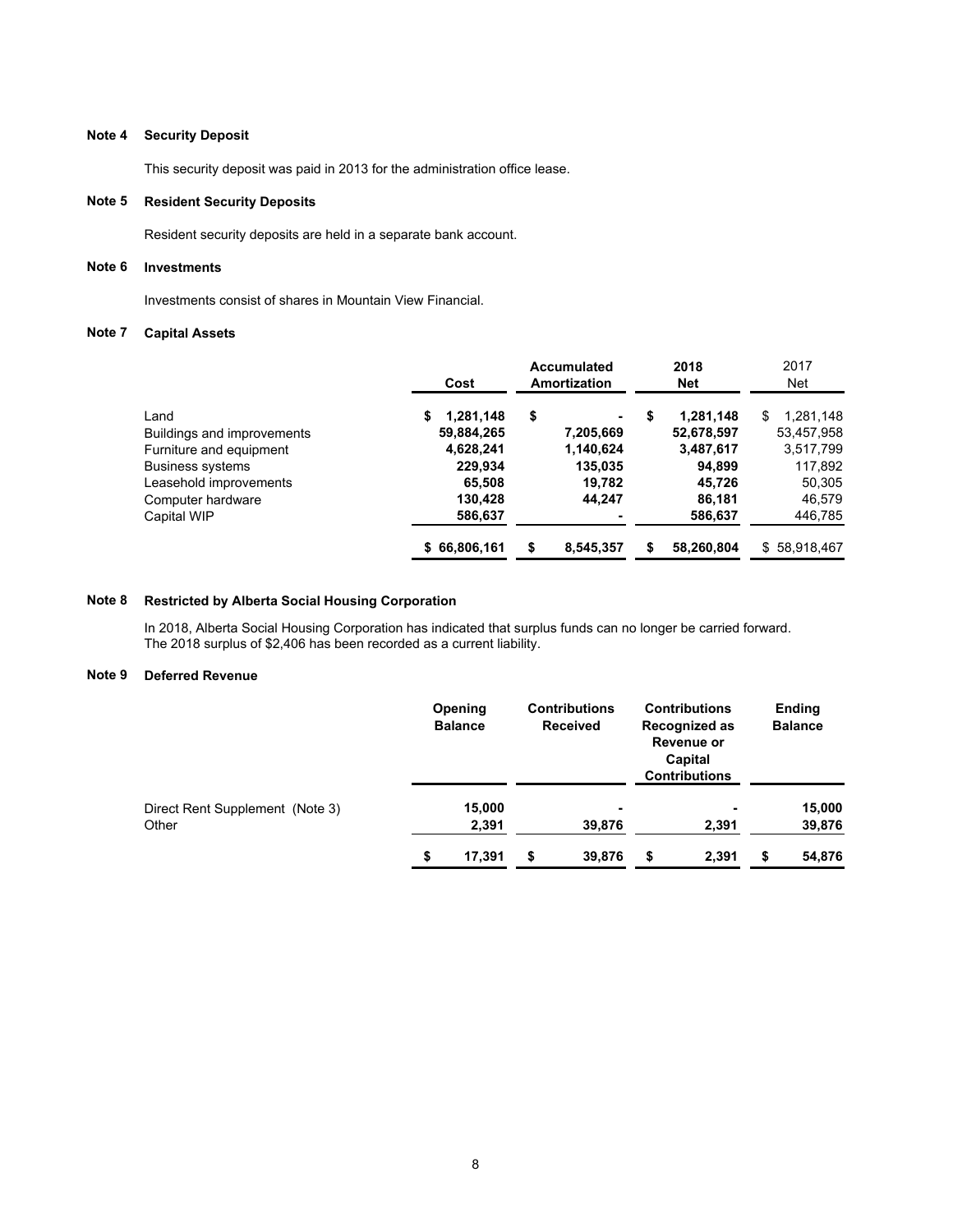#### **Note 4 Security Deposit**

This security deposit was paid in 2013 for the administration office lease.

#### **Note 5 Resident Security Deposits**

Resident security deposits are held in a separate bank account.

#### **Note 6 Investments**

Investments consist of shares in Mountain View Financial.

#### **Note 7 Capital Assets**

|                                   | Cost           | Accumulated<br>Amortization |           |    | 2018<br><b>Net</b> | 2017<br>Net     |
|-----------------------------------|----------------|-----------------------------|-----------|----|--------------------|-----------------|
| Land                              | 1,281,148<br>S | \$                          | ۰.        | \$ | 1,281,148          | 1,281,148<br>\$ |
| <b>Buildings and improvements</b> | 59,884,265     |                             | 7,205,669 |    | 52,678,597         | 53,457,958      |
| Furniture and equipment           | 4,628,241      |                             | 1,140,624 |    | 3,487,617          | 3,517,799       |
| <b>Business systems</b>           | 229,934        |                             | 135,035   |    | 94,899             | 117,892         |
| Leasehold improvements            | 65,508         |                             | 19,782    |    | 45.726             | 50,305          |
| Computer hardware                 | 130,428        |                             | 44,247    |    | 86,181             | 46,579          |
| Capital WIP                       | 586,637        |                             |           |    | 586,637            | 446,785         |
|                                   | \$66,806,161   |                             | 8,545,357 | S  | 58,260,804         | \$58,918,467    |

#### **Note 8 Restricted by Alberta Social Housing Corporation**

In 2018, Alberta Social Housing Corporation has indicated that surplus funds can no longer be carried forward. The 2018 surplus of \$2,406 has been recorded as a current liability.

#### **Note 9 Deferred Revenue**

|                                 | Opening<br><b>Balance</b> |   | <b>Contributions</b><br><b>Received</b> | <b>Contributions</b><br><b>Recognized as</b><br>Revenue or<br>Capital<br><b>Contributions</b> | <b>Ending</b><br><b>Balance</b> |
|---------------------------------|---------------------------|---|-----------------------------------------|-----------------------------------------------------------------------------------------------|---------------------------------|
| Direct Rent Supplement (Note 3) | 15,000                    |   | ۰                                       |                                                                                               | 15,000                          |
| Other                           | 2,391                     |   | 39,876                                  | 2,391                                                                                         | 39,876                          |
|                                 | \$<br>17,391              | S | 39,876                                  | \$<br>2,391                                                                                   | \$<br>54,876                    |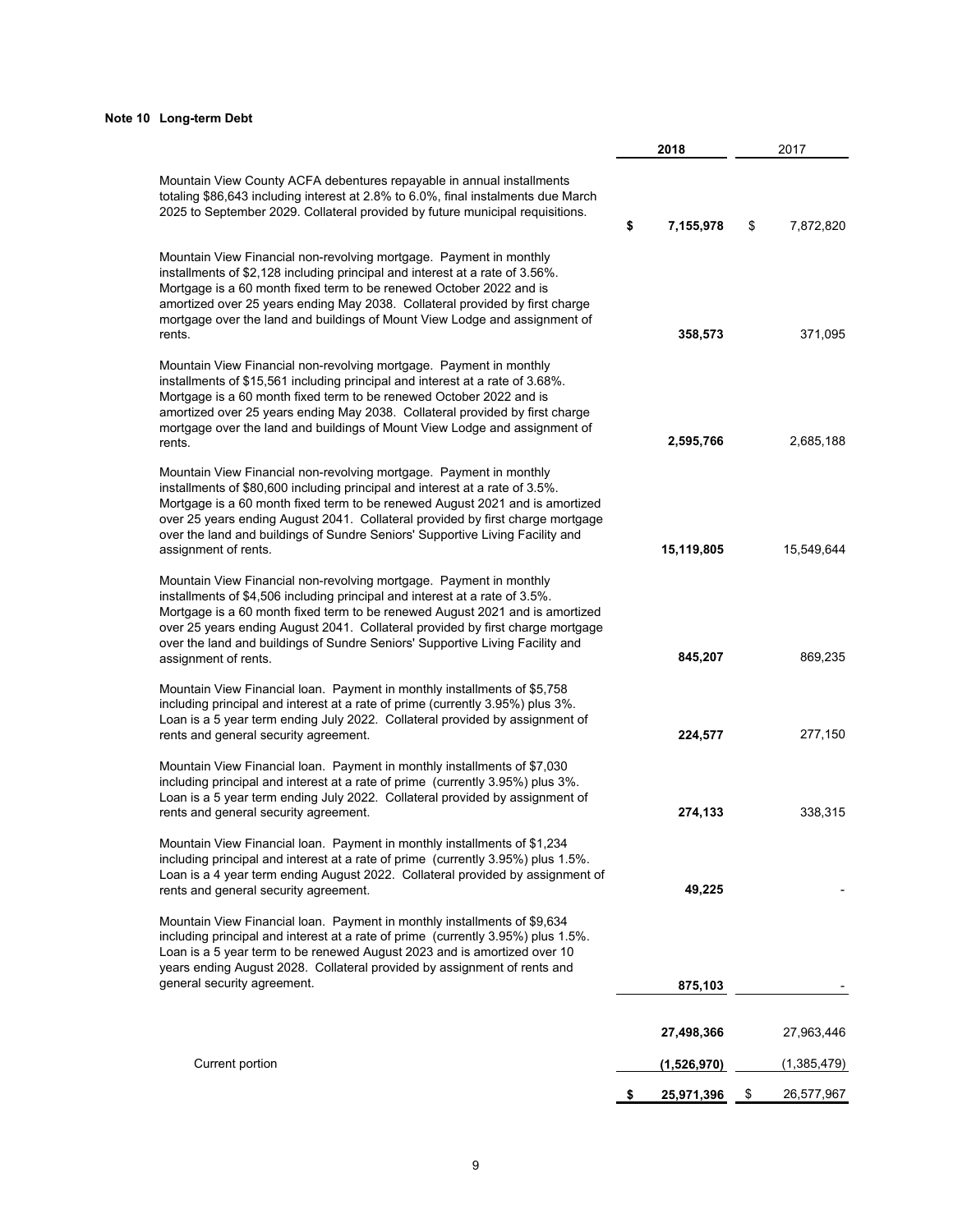#### **Note 10 Long-term Debt**

|                                                                                                                                                                                                                                                                                                                                                                                                                               | 2018             | 2017             |
|-------------------------------------------------------------------------------------------------------------------------------------------------------------------------------------------------------------------------------------------------------------------------------------------------------------------------------------------------------------------------------------------------------------------------------|------------------|------------------|
| Mountain View County ACFA debentures repayable in annual installments<br>totaling \$86,643 including interest at 2.8% to 6.0%, final instalments due March<br>2025 to September 2029. Collateral provided by future municipal requisitions.                                                                                                                                                                                   | \$<br>7,155,978  | \$<br>7,872,820  |
| Mountain View Financial non-revolving mortgage. Payment in monthly<br>installments of \$2,128 including principal and interest at a rate of 3.56%.<br>Mortgage is a 60 month fixed term to be renewed October 2022 and is<br>amortized over 25 years ending May 2038. Collateral provided by first charge<br>mortgage over the land and buildings of Mount View Lodge and assignment of<br>rents.                             | 358,573          | 371,095          |
| Mountain View Financial non-revolving mortgage. Payment in monthly<br>installments of \$15,561 including principal and interest at a rate of 3.68%.<br>Mortgage is a 60 month fixed term to be renewed October 2022 and is<br>amortized over 25 years ending May 2038. Collateral provided by first charge<br>mortgage over the land and buildings of Mount View Lodge and assignment of<br>rents.                            | 2,595,766        | 2,685,188        |
| Mountain View Financial non-revolving mortgage. Payment in monthly<br>installments of \$80,600 including principal and interest at a rate of 3.5%.<br>Mortgage is a 60 month fixed term to be renewed August 2021 and is amortized<br>over 25 years ending August 2041. Collateral provided by first charge mortgage<br>over the land and buildings of Sundre Seniors' Supportive Living Facility and<br>assignment of rents. | 15,119,805       | 15,549,644       |
| Mountain View Financial non-revolving mortgage. Payment in monthly<br>installments of \$4,506 including principal and interest at a rate of 3.5%.<br>Mortgage is a 60 month fixed term to be renewed August 2021 and is amortized<br>over 25 years ending August 2041. Collateral provided by first charge mortgage<br>over the land and buildings of Sundre Seniors' Supportive Living Facility and<br>assignment of rents.  | 845,207          | 869,235          |
| Mountain View Financial Ioan. Payment in monthly installments of \$5,758<br>including principal and interest at a rate of prime (currently 3.95%) plus 3%.<br>Loan is a 5 year term ending July 2022. Collateral provided by assignment of<br>rents and general security agreement.                                                                                                                                           | 224,577          | 277,150          |
| Mountain View Financial Ioan. Payment in monthly installments of \$7,030<br>including principal and interest at a rate of prime (currently 3.95%) plus 3%.<br>Loan is a 5 year term ending July 2022. Collateral provided by assignment of<br>rents and general security agreement.                                                                                                                                           | 274,133          | 338,315          |
| Mountain View Financial loan. Payment in monthly installments of \$1,234<br>including principal and interest at a rate of prime (currently 3.95%) plus 1.5%.<br>Loan is a 4 year term ending August 2022. Collateral provided by assignment of<br>rents and general security agreement.                                                                                                                                       | 49,225           |                  |
| Mountain View Financial Ioan. Payment in monthly installments of \$9,634<br>including principal and interest at a rate of prime (currently 3.95%) plus 1.5%.<br>Loan is a 5 year term to be renewed August 2023 and is amortized over 10<br>years ending August 2028. Collateral provided by assignment of rents and<br>general security agreement.                                                                           |                  |                  |
|                                                                                                                                                                                                                                                                                                                                                                                                                               | 875,103          |                  |
|                                                                                                                                                                                                                                                                                                                                                                                                                               | 27,498,366       | 27,963,446       |
| Current portion                                                                                                                                                                                                                                                                                                                                                                                                               | (1,526,970)      | (1,385,479)      |
|                                                                                                                                                                                                                                                                                                                                                                                                                               | \$<br>25,971,396 | \$<br>26,577,967 |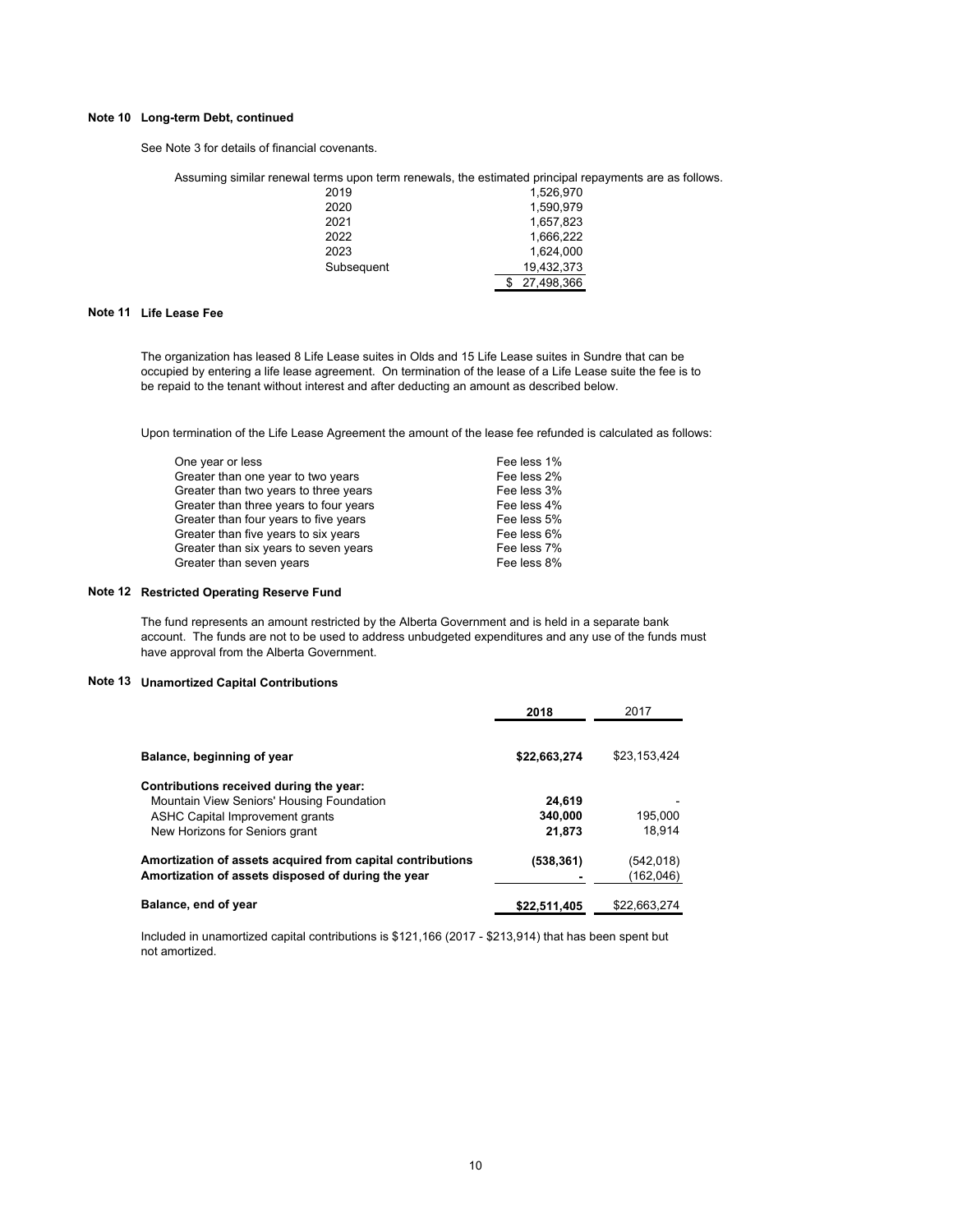### **Note 10 Long-term Debt, continued**

See Note 3 for details of financial covenants.

Assuming similar renewal terms upon term renewals, the estimated principal repayments are as follows.

| 2019       | 1.526.970  |
|------------|------------|
| 2020       | 1.590.979  |
| 2021       | 1.657.823  |
| 2022       | 1.666.222  |
| 2023       | 1.624.000  |
| Subsequent | 19.432.373 |
|            | 27.498.366 |

#### **Note 11 Life Lease Fee**

The organization has leased 8 Life Lease suites in Olds and 15 Life Lease suites in Sundre that can be occupied by entering a life lease agreement. On termination of the lease of a Life Lease suite the fee is to be repaid to the tenant without interest and after deducting an amount as described below.

Upon termination of the Life Lease Agreement the amount of the lease fee refunded is calculated as follows:

| One year or less                       | Fee less 1% |
|----------------------------------------|-------------|
| Greater than one year to two years     | Fee less 2% |
| Greater than two years to three years  | Fee less 3% |
| Greater than three years to four years | Fee less 4% |
| Greater than four years to five years  | Fee less 5% |
| Greater than five years to six years   | Fee less 6% |
| Greater than six years to seven years  | Fee less 7% |
| Greater than seven years               | Fee less 8% |

#### **Note 12 Restricted Operating Reserve Fund**

The fund represents an amount restricted by the Alberta Government and is held in a separate bank account. The funds are not to be used to address unbudgeted expenditures and any use of the funds must have approval from the Alberta Government.

#### **Note 13 Unamortized Capital Contributions**

|                                                            | 2018         | 2017         |
|------------------------------------------------------------|--------------|--------------|
| Balance, beginning of year                                 | \$22,663,274 | \$23.153.424 |
| Contributions received during the year:                    |              |              |
| Mountain View Seniors' Housing Foundation                  | 24.619       |              |
| ASHC Capital Improvement grants                            | 340,000      | 195.000      |
| New Horizons for Seniors grant                             | 21,873       | 18.914       |
| Amortization of assets acquired from capital contributions | (538.361)    | (542, 018)   |
| Amortization of assets disposed of during the year         |              | (162, 046)   |
| Balance, end of year                                       | \$22,511,405 | \$22.663.274 |

Included in unamortized capital contributions is \$121,166 (2017 - \$213,914) that has been spent but not amortized.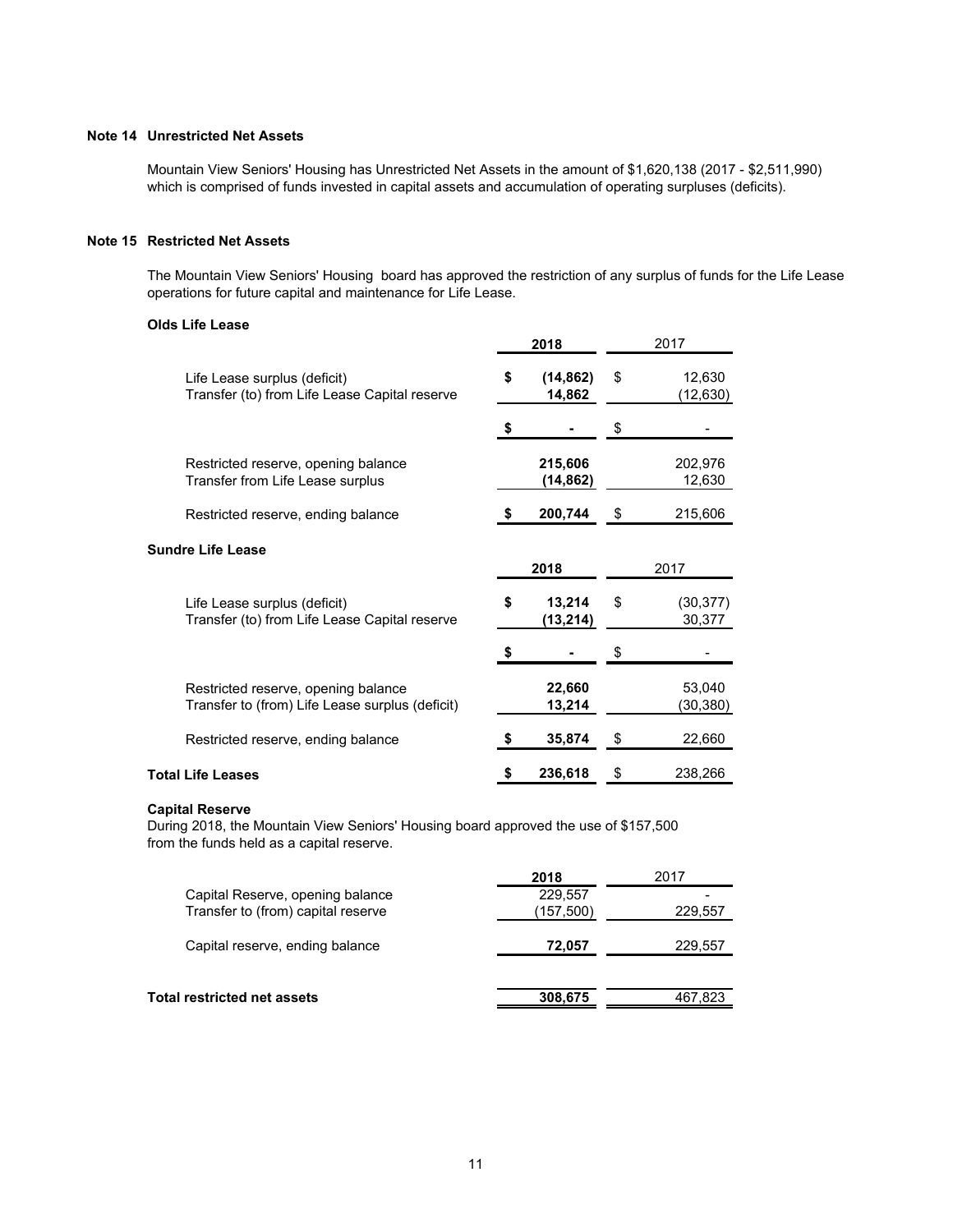## **Note 14 Unrestricted Net Assets**

Mountain View Seniors' Housing has Unrestricted Net Assets in the amount of \$1,620,138 (2017 - \$2,511,990) which is comprised of funds invested in capital assets and accumulation of operating surpluses (deficits).

## **Note 15 Restricted Net Assets**

The Mountain View Seniors' Housing board has approved the restriction of any surplus of funds for the Life Lease operations for future capital and maintenance for Life Lease.

## **Olds Life Lease**

|                                                                                        | 2018 |                     | 2017 |                     |
|----------------------------------------------------------------------------------------|------|---------------------|------|---------------------|
| Life Lease surplus (deficit)<br>Transfer (to) from Life Lease Capital reserve          | \$   | (14, 862)<br>14,862 | \$   | 12,630<br>(12,630)  |
|                                                                                        | \$   |                     | \$   |                     |
| Restricted reserve, opening balance<br>Transfer from Life Lease surplus                |      | 215,606<br>(14,862) |      | 202,976<br>12,630   |
| Restricted reserve, ending balance                                                     | S.   | 200,744             | \$   | 215,606             |
| <b>Sundre Life Lease</b>                                                               |      |                     |      |                     |
|                                                                                        |      | 2018                |      | 2017                |
| Life Lease surplus (deficit)<br>Transfer (to) from Life Lease Capital reserve          | \$   | 13,214<br>(13,214)  | \$   | (30, 377)<br>30,377 |
|                                                                                        | \$   |                     | \$   |                     |
| Restricted reserve, opening balance<br>Transfer to (from) Life Lease surplus (deficit) |      | 22,660<br>13,214    |      | 53,040<br>(30,380)  |
| Restricted reserve, ending balance                                                     | \$   | 35,874              | \$   | 22,660              |
| <b>Total Life Leases</b>                                                               | \$   | 236,618             | \$   | 238,266             |

## **Capital Reserve**

During 2018, the Mountain View Seniors' Housing board approved the use of \$157,500 from the funds held as a capital reserve.

|                                    | 2018      | 2017    |
|------------------------------------|-----------|---------|
| Capital Reserve, opening balance   | 229,557   |         |
| Transfer to (from) capital reserve | (157,500) | 229,557 |
| Capital reserve, ending balance    | 72,057    | 229,557 |
|                                    |           |         |
| Total restricted net assets        | 308,675   | 467,823 |
|                                    |           |         |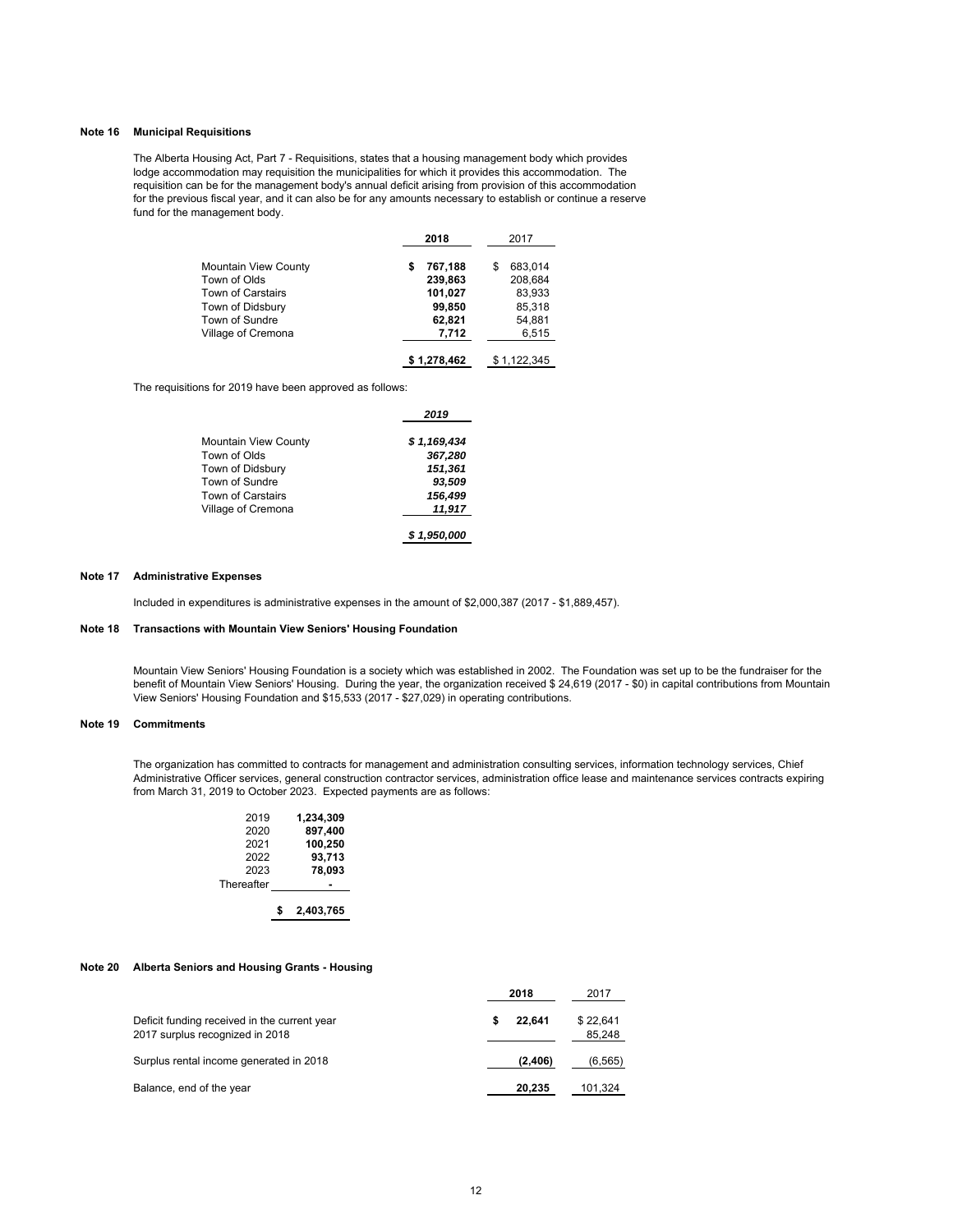#### **Note 16 Municipal Requisitions**

The Alberta Housing Act, Part 7 - Requisitions, states that a housing management body which provides lodge accommodation may requisition the municipalities for which it provides this accommodation. The requisition can be for the management body's annual deficit arising from provision of this accommodation for the previous fiscal year, and it can also be for any amounts necessary to establish or continue a reserve fund for the management body.

|                             | 2018         | 2017         |  |
|-----------------------------|--------------|--------------|--|
| <b>Mountain View County</b> | 767,188<br>S | 683.014<br>S |  |
| Town of Olds                | 239,863      | 208,684      |  |
| Town of Carstairs           | 101,027      | 83.933       |  |
| Town of Didsbury            | 99,850       | 85,318       |  |
| Town of Sundre              | 62,821       | 54,881       |  |
| Village of Cremona          | 7,712        | 6,515        |  |
|                             | \$1,278,462  | \$1.122.345  |  |

The requisitions for 2019 have been approved as follows:

|                             | 2019        |
|-----------------------------|-------------|
| <b>Mountain View County</b> | \$1,169,434 |
| Town of Olds                | 367,280     |
| Town of Didsbury            | 151,361     |
| Town of Sundre              | 93.509      |
| Town of Carstairs           | 156,499     |
| Village of Cremona          | 11,917      |
|                             | \$1.950.000 |

#### **Note 17 Administrative Expenses**

Included in expenditures is administrative expenses in the amount of \$2,000,387 (2017 - \$1,889,457).

#### **Note 18 Transactions with Mountain View Seniors' Housing Foundation**

Mountain View Seniors' Housing Foundation is a society which was established in 2002. The Foundation was set up to be the fundraiser for the benefit of Mountain View Seniors' Housing. During the year, the organization received \$ 24,619 (2017 - \$0) in capital contributions from Mountain View Seniors' Housing Foundation and \$15,533 (2017 - \$27,029) in operating contributions.

#### **Note 19 Commitments**

The organization has committed to contracts for management and administration consulting services, information technology services, Chief Administrative Officer services, general construction contractor services, administration office lease and maintenance services contracts expiring from March 31, 2019 to October 2023. Expected payments are as follows:

| 2019<br>2020<br>2021<br>2022<br>2023<br>Thereafter | 1.234.309<br>897.400<br>100,250<br>93,713<br>78.093 |
|----------------------------------------------------|-----------------------------------------------------|
|                                                    |                                                     |
|                                                    | \$<br>2,403,765                                     |

#### **Note 20 Alberta Seniors and Housing Grants - Housing**

|                                                                                 | 2018    | 2017               |
|---------------------------------------------------------------------------------|---------|--------------------|
| Deficit funding received in the current year<br>2017 surplus recognized in 2018 | 22.641  | \$22.641<br>85,248 |
| Surplus rental income generated in 2018                                         | (2.406) | (6,565)            |
| Balance, end of the year                                                        | 20,235  | 101,324            |